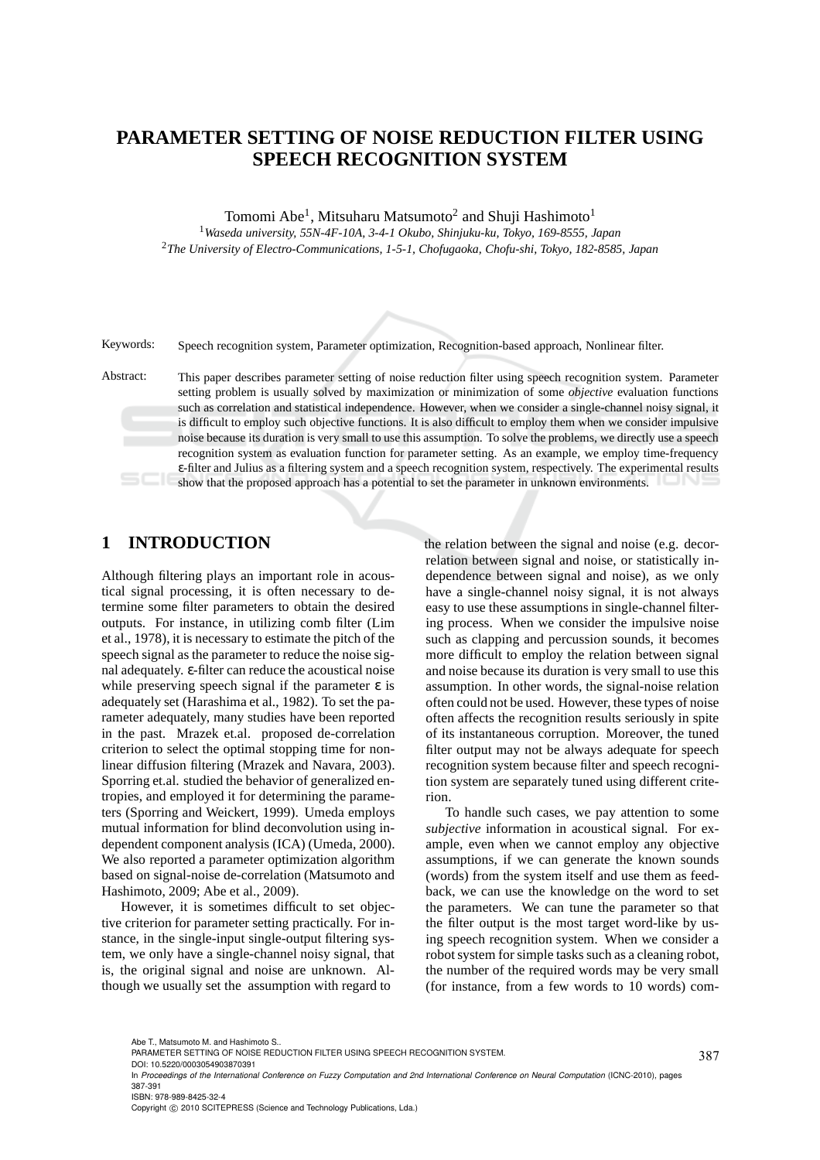# **PARAMETER SETTING OF NOISE REDUCTION FILTER USING SPEECH RECOGNITION SYSTEM**

Tomomi Abe<sup>1</sup>, Mitsuharu Matsumoto<sup>2</sup> and Shuji Hashimoto<sup>1</sup> <sup>1</sup>*Waseda university, 55N-4F-10A, 3-4-1 Okubo, Shinjuku-ku, Tokyo, 169-8555, Japan* <sup>2</sup>*The University of Electro-Communications, 1-5-1, Chofugaoka, Chofu-shi, Tokyo, 182-8585, Japan*

Keywords: Speech recognition system, Parameter optimization, Recognition-based approach, Nonlinear filter.

Abstract: This paper describes parameter setting of noise reduction filter using speech recognition system. Parameter setting problem is usually solved by maximization or minimization of some *objective* evaluation functions such as correlation and statistical independence. However, when we consider a single-channel noisy signal, it is difficult to employ such objective functions. It is also difficult to employ them when we consider impulsive noise because its duration is very small to use this assumption. To solve the problems, we directly use a speech recognition system as evaluation function for parameter setting. As an example, we employ time-frequency ε-filter and Julius as a filtering system and a speech recognition system, respectively. The experimental results show that the proposed approach has a potential to set the parameter in unknown environments.

### **1 INTRODUCTION**

Although filtering plays an important role in acoustical signal processing, it is often necessary to determine some filter parameters to obtain the desired outputs. For instance, in utilizing comb filter (Lim et al., 1978), it is necessary to estimate the pitch of the speech signal as the parameter to reduce the noise signal adequately. ε-filter can reduce the acoustical noise while preserving speech signal if the parameter  $\varepsilon$  is adequately set (Harashima et al., 1982). To set the parameter adequately, many studies have been reported in the past. Mrazek et.al. proposed de-correlation criterion to select the optimal stopping time for nonlinear diffusion filtering (Mrazek and Navara, 2003). Sporring et.al. studied the behavior of generalized entropies, and employed it for determining the parameters (Sporring and Weickert, 1999). Umeda employs mutual information for blind deconvolution using independent component analysis (ICA) (Umeda, 2000). We also reported a parameter optimization algorithm based on signal-noise de-correlation (Matsumoto and Hashimoto, 2009; Abe et al., 2009).

However, it is sometimes difficult to set objective criterion for parameter setting practically. For instance, in the single-input single-output filtering system, we only have a single-channel noisy signal, that is, the original signal and noise are unknown. Although we usually set the assumption with regard to

the relation between the signal and noise (e.g. decorrelation between signal and noise, or statistically independence between signal and noise), as we only have a single-channel noisy signal, it is not always easy to use these assumptions in single-channel filtering process. When we consider the impulsive noise such as clapping and percussion sounds, it becomes more difficult to employ the relation between signal and noise because its duration is very small to use this assumption. In other words, the signal-noise relation often could not be used. However, these types of noise often affects the recognition results seriously in spite of its instantaneous corruption. Moreover, the tuned filter output may not be always adequate for speech recognition system because filter and speech recognition system are separately tuned using different criterion.

To handle such cases, we pay attention to some *subjective* information in acoustical signal. For example, even when we cannot employ any objective assumptions, if we can generate the known sounds (words) from the system itself and use them as feedback, we can use the knowledge on the word to set the parameters. We can tune the parameter so that the filter output is the most target word-like by using speech recognition system. When we consider a robot system for simple tasks such as a cleaning robot, the number of the required words may be very small (for instance, from a few words to 10 words) com-

387

Abe T., Matsumoto M. and Hashimoto S..

PARAMETER SETTING OF NOISE REDUCTION FILTER USING SPEECH RECOGNITION SYSTEM.

DOI: 10.5220/0003054903870391

In *Proceedings of the International Conference on Fuzzy Computation and 2nd International Conference on Neural Computation* (ICNC-2010), pages 387-391 ISBN: 978-989-8425-32-4

Copyright © 2010 SCITEPRESS (Science and Technology Publications, Lda.)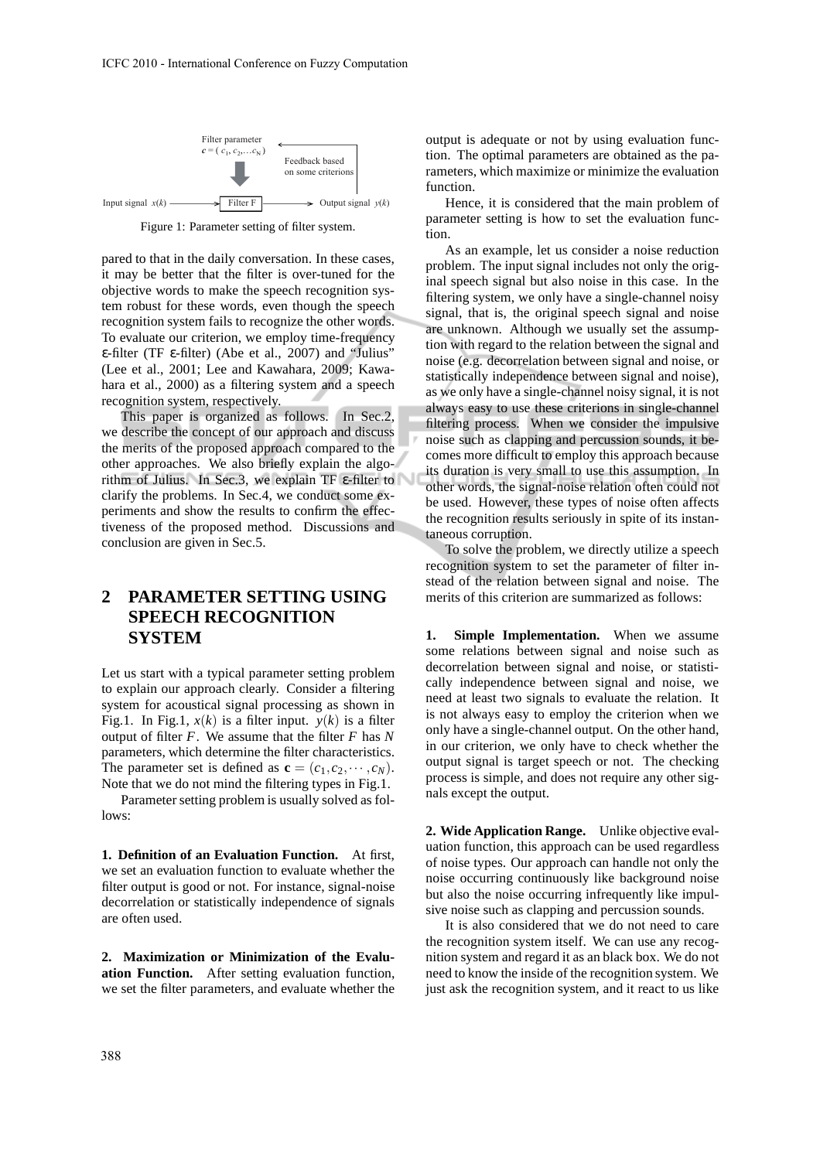

Figure 1: Parameter setting of filter system.

pared to that in the daily conversation. In these cases, it may be better that the filter is over-tuned for the objective words to make the speech recognition system robust for these words, even though the speech recognition system fails to recognize the other words. To evaluate our criterion, we employ time-frequency ε-filter (TF ε-filter) (Abe et al., 2007) and "Julius" (Lee et al., 2001; Lee and Kawahara, 2009; Kawahara et al., 2000) as a filtering system and a speech recognition system, respectively.

This paper is organized as follows. In Sec.2, we describe the concept of our approach and discuss the merits of the proposed approach compared to the other approaches. We also briefly explain the algorithm of Julius. In Sec.3, we explain TF ε-filter to clarify the problems. In Sec.4, we conduct some experiments and show the results to confirm the effectiveness of the proposed method. Discussions and conclusion are given in Sec.5.

## **2 PARAMETER SETTING USING SPEECH RECOGNITION SYSTEM**

Let us start with a typical parameter setting problem to explain our approach clearly. Consider a filtering system for acoustical signal processing as shown in Fig.1. In Fig.1,  $x(k)$  is a filter input.  $y(k)$  is a filter output of filter *F*. We assume that the filter *F* has *N* parameters, which determine the filter characteristics. The parameter set is defined as  $\mathbf{c} = (c_1, c_2, \dots, c_N)$ . Note that we do not mind the filtering types in Fig.1.

Parameter setting problem is usually solved as follows:

**1. Definition of an Evaluation Function.** At first, we set an evaluation function to evaluate whether the filter output is good or not. For instance, signal-noise decorrelation or statistically independence of signals are often used.

**2. Maximization or Minimization of the Evaluation Function.** After setting evaluation function, we set the filter parameters, and evaluate whether the output is adequate or not by using evaluation function. The optimal parameters are obtained as the parameters, which maximize or minimize the evaluation function.

Hence, it is considered that the main problem of parameter setting is how to set the evaluation function.

As an example, let us consider a noise reduction problem. The input signal includes not only the original speech signal but also noise in this case. In the filtering system, we only have a single-channel noisy signal, that is, the original speech signal and noise are unknown. Although we usually set the assumption with regard to the relation between the signal and noise (e.g. decorrelation between signal and noise, or statistically independence between signal and noise), as we only have a single-channel noisy signal, it is not always easy to use these criterions in single-channel filtering process. When we consider the impulsive noise such as clapping and percussion sounds, it becomes more difficult to employ this approach because its duration is very small to use this assumption. In other words, the signal-noise relation often could not be used. However, these types of noise often affects the recognition results seriously in spite of its instantaneous corruption.

To solve the problem, we directly utilize a speech recognition system to set the parameter of filter instead of the relation between signal and noise. The merits of this criterion are summarized as follows:

**1. Simple Implementation.** When we assume some relations between signal and noise such as decorrelation between signal and noise, or statistically independence between signal and noise, we need at least two signals to evaluate the relation. It is not always easy to employ the criterion when we only have a single-channel output. On the other hand, in our criterion, we only have to check whether the output signal is target speech or not. The checking process is simple, and does not require any other signals except the output.

**2. Wide Application Range.** Unlike objective evaluation function, this approach can be used regardless of noise types. Our approach can handle not only the noise occurring continuously like background noise but also the noise occurring infrequently like impulsive noise such as clapping and percussion sounds.

It is also considered that we do not need to care the recognition system itself. We can use any recognition system and regard it as an black box. We do not need to know the inside of the recognition system. We just ask the recognition system, and it react to us like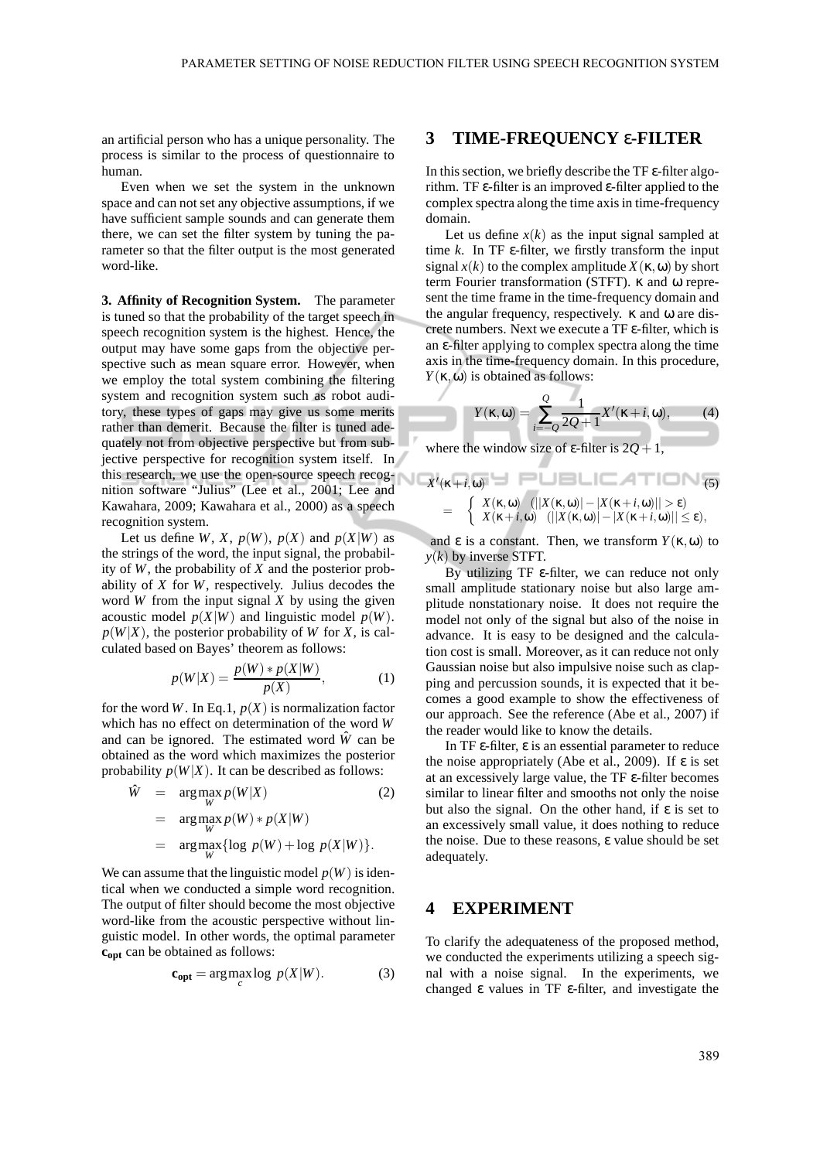an artificial person who has a unique personality. The process is similar to the process of questionnaire to human.

Even when we set the system in the unknown space and can not set any objective assumptions, if we have sufficient sample sounds and can generate them there, we can set the filter system by tuning the parameter so that the filter output is the most generated word-like.

**3. Affinity of Recognition System.** The parameter is tuned so that the probability of the target speech in speech recognition system is the highest. Hence, the output may have some gaps from the objective perspective such as mean square error. However, when we employ the total system combining the filtering system and recognition system such as robot auditory, these types of gaps may give us some merits rather than demerit. Because the filter is tuned adequately not from objective perspective but from subjective perspective for recognition system itself. In this research, we use the open-source speech recognition software "Julius" (Lee et al., 2001; Lee and Kawahara, 2009; Kawahara et al., 2000) as a speech recognition system.

Let us define *W*, *X*,  $p(W)$ ,  $p(X)$  and  $p(X|W)$  as the strings of the word, the input signal, the probability of *W*, the probability of *X* and the posterior probability of *X* for *W*, respectively. Julius decodes the word *W* from the input signal *X* by using the given acoustic model  $p(X|W)$  and linguistic model  $p(W)$ .  $p(W|X)$ , the posterior probability of *W* for *X*, is calculated based on Bayes' theorem as follows:

$$
p(W|X) = \frac{p(W) * p(X|W)}{p(X)},
$$
 (1)

for the word *W*. In Eq.1,  $p(X)$  is normalization factor which has no effect on determination of the word *W* and can be ignored. The estimated word  $\hat{W}$  can be obtained as the word which maximizes the posterior probability  $p(W|X)$ . It can be described as follows:

$$
\hat{W} = \underset{W}{\arg \max_{W}} p(W|X) \tag{2}
$$
\n
$$
= \underset{W}{\arg \max_{W}} p(W) * p(X|W) \tag{2}
$$
\n
$$
= \underset{W}{\arg \max_{W}} {\log p(W) + \log p(X|W)}.
$$

We can assume that the linguistic model  $p(W)$  is identical when we conducted a simple word recognition. The output of filter should become the most objective word-like from the acoustic perspective without linguistic model. In other words, the optimal parameter **copt** can be obtained as follows:

$$
\mathbf{c}_{\mathbf{opt}} = \arg \max_{c} \log \, p(X|W). \tag{3}
$$

#### **3 TIME-FREQUENCY** ε**-FILTER**

In this section, we briefly describe the TF ε-filter algorithm. TF ε-filter is an improved ε-filter applied to the complex spectra along the time axis in time-frequency domain.

Let us define  $x(k)$  as the input signal sampled at time  $k$ . In TF  $\varepsilon$ -filter, we firstly transform the input signal  $x(k)$  to the complex amplitude  $X(\kappa, \omega)$  by short term Fourier transformation (STFT). κ and ω represent the time frame in the time-frequency domain and the angular frequency, respectively. κ and ω are discrete numbers. Next we execute a TF ε-filter, which is an ε-filter applying to complex spectra along the time axis in the time-frequency domain. In this procedure,  $Y(\kappa, \omega)$  is obtained as follows:

$$
Y(\kappa, \omega) = \sum_{i=-Q}^{Q} \frac{1}{2Q+1} X'(\kappa + i, \omega), \qquad (4)
$$

where the window size of  $\varepsilon$ -filter is  $2O+1$ ,

$$
X'(\kappa+i,\omega) = \begin{cases} X(\kappa,\omega) & (||X(\kappa,\omega)||-|X(\kappa+i,\omega)||>\epsilon) \\ X(\kappa+i,\omega) & (||X(\kappa,\omega)||-|X(\kappa+i,\omega)||\leq\epsilon), \end{cases}
$$
(5)

and  $\varepsilon$  is a constant. Then, we transform  $Y(\kappa, \omega)$  to *y*(*k*) by inverse STFT.

By utilizing TF ε-filter, we can reduce not only small amplitude stationary noise but also large amplitude nonstationary noise. It does not require the model not only of the signal but also of the noise in advance. It is easy to be designed and the calculation cost is small. Moreover, as it can reduce not only Gaussian noise but also impulsive noise such as clapping and percussion sounds, it is expected that it becomes a good example to show the effectiveness of our approach. See the reference (Abe et al., 2007) if the reader would like to know the details.

In TF  $\varepsilon$ -filter,  $\varepsilon$  is an essential parameter to reduce the noise appropriately (Abe et al., 2009). If  $\varepsilon$  is set at an excessively large value, the TF ε-filter becomes similar to linear filter and smooths not only the noise but also the signal. On the other hand, if  $\varepsilon$  is set to an excessively small value, it does nothing to reduce the noise. Due to these reasons, ε value should be set adequately.

#### **4 EXPERIMENT**

To clarify the adequateness of the proposed method, we conducted the experiments utilizing a speech signal with a noise signal. In the experiments, we changed ε values in TF ε-filter, and investigate the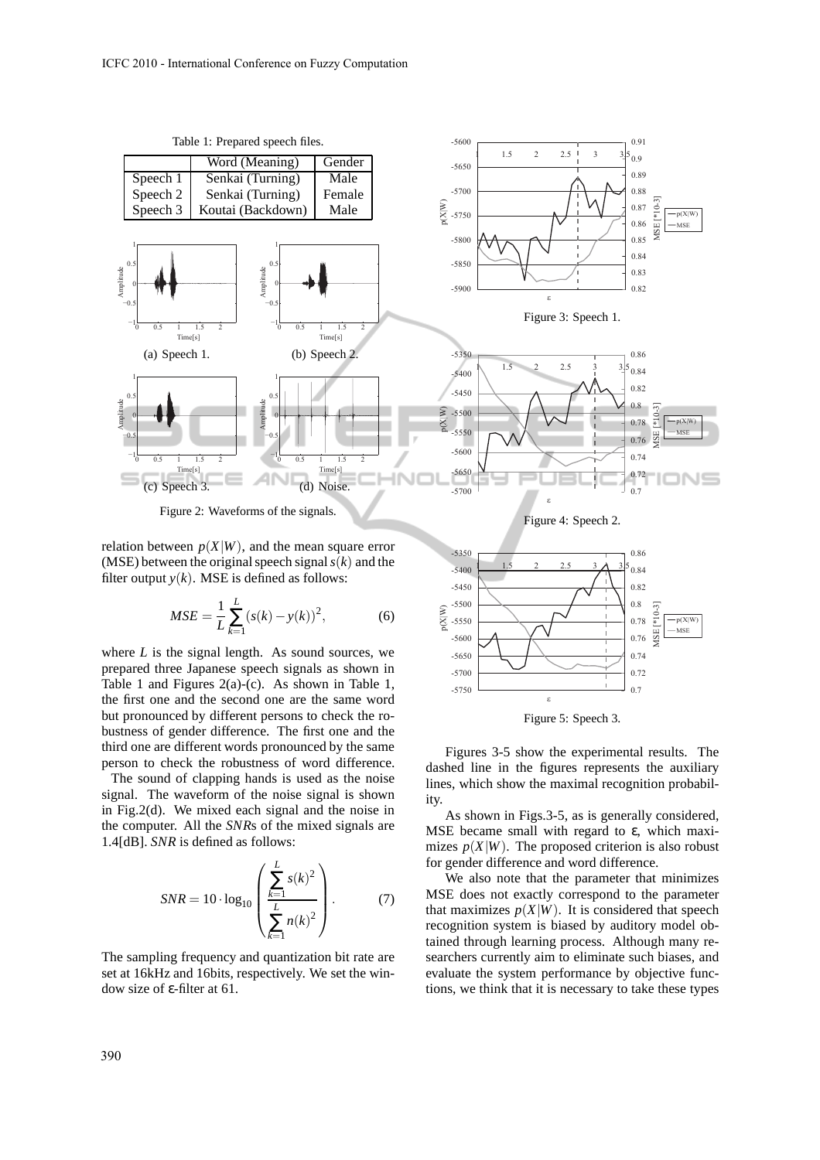

-5750 -5700 -5650 -5600 -5550 -5500 -5450 -5400 -5350

p(X|W)

relation between  $p(X|W)$ , and the mean square error (MSE) between the original speech signal*s*(*k*) and the filter output  $y(k)$ . MSE is defined as follows:

$$
MSE = \frac{1}{L} \sum_{k=1}^{L} (s(k) - y(k))^2,
$$
 (6)

where  $L$  is the signal length. As sound sources, we prepared three Japanese speech signals as shown in Table 1 and Figures  $2(a)-(c)$ . As shown in Table 1, the first one and the second one are the same word but pronounced by different persons to check the robustness of gender difference. The first one and the third one are different words pronounced by the same person to check the robustness of word difference.

The sound of clapping hands is used as the noise signal. The waveform of the noise signal is shown in Fig.2(d). We mixed each signal and the noise in the computer. All the *SNR*s of the mixed signals are 1.4[dB]. *SNR* is defined as follows:

$$
SNR = 10 \cdot \log_{10} \left( \frac{\sum_{k=1}^{L} s(k)^2}{\sum_{k=1}^{L} n(k)^2} \right). \tag{7}
$$

The sampling frequency and quantization bit rate are set at 16kHz and 16bits, respectively. We set the window size of ε-filter at 61.



0.7 0.72 0.74

0.8 0.82 0.84 0.86

MSE [\*10-3]  $-p(X|W)$ **MSE** 

 $[ * 10 - 3]$ ASE

1 1.5 2 2.5 3  $\lambda$  3.5



ε

Figures 3-5 show the experimental results. The dashed line in the figures represents the auxiliary lines, which show the maximal recognition probability.

As shown in Figs.3-5, as is generally considered, MSE became small with regard to ε, which maximizes  $p(X|W)$ . The proposed criterion is also robust for gender difference and word difference.

We also note that the parameter that minimizes MSE does not exactly correspond to the parameter that maximizes  $p(X|W)$ . It is considered that speech recognition system is biased by auditory model obtained through learning process. Although many researchers currently aim to eliminate such biases, and evaluate the system performance by objective functions, we think that it is necessary to take these types